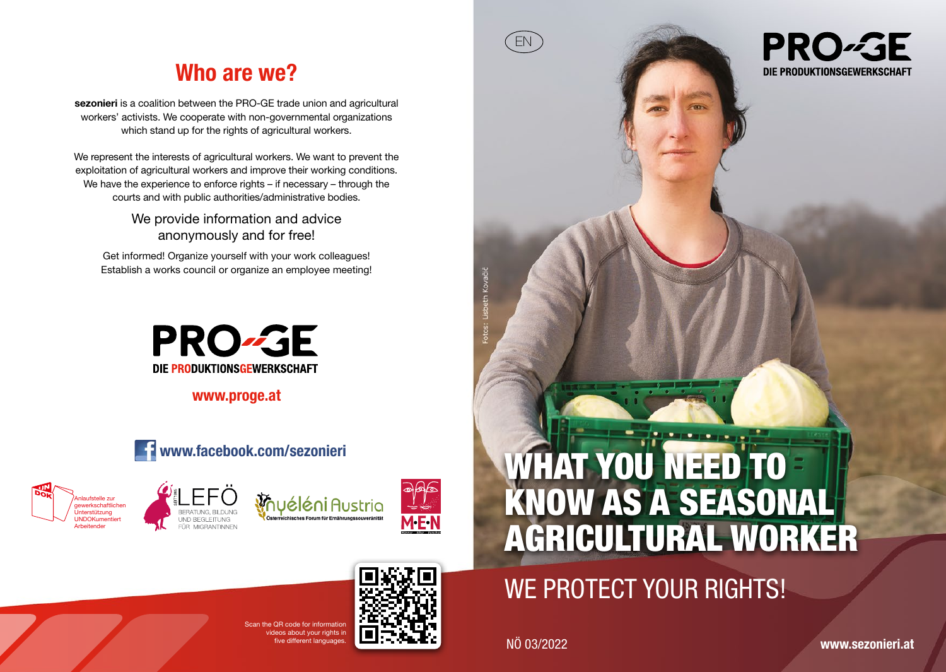## Who are we?

sezonieri is a coalition between the PRO-GE trade union and agricultural workers' activists. We cooperate with non-governmental organizations which stand up for the rights of agricultural workers.

We represent the interests of agricultural workers. We want to prevent the exploitation of agricultural workers and improve their working conditions. We have the experience to enforce rights – if necessary – through the courts and with public authorities/administrative bodies.

> We provide information and advice anonymously and for free!

Get informed! Organize yourself with your work colleagues! Establish a works council or organize an employee meeting!



www.proge.at









# WHAT YOU NEED TO KNOW AS A SEASONAL AGRICULTURAL WORKER

# WE PROTECT YOUR RIGHTS!

ive different languages. NÖ 03/2022

EN

**PRO-GE** DIE PRODUKTIONSGEWERKSCHAFT



 **CR code for information** ideos about your rights in